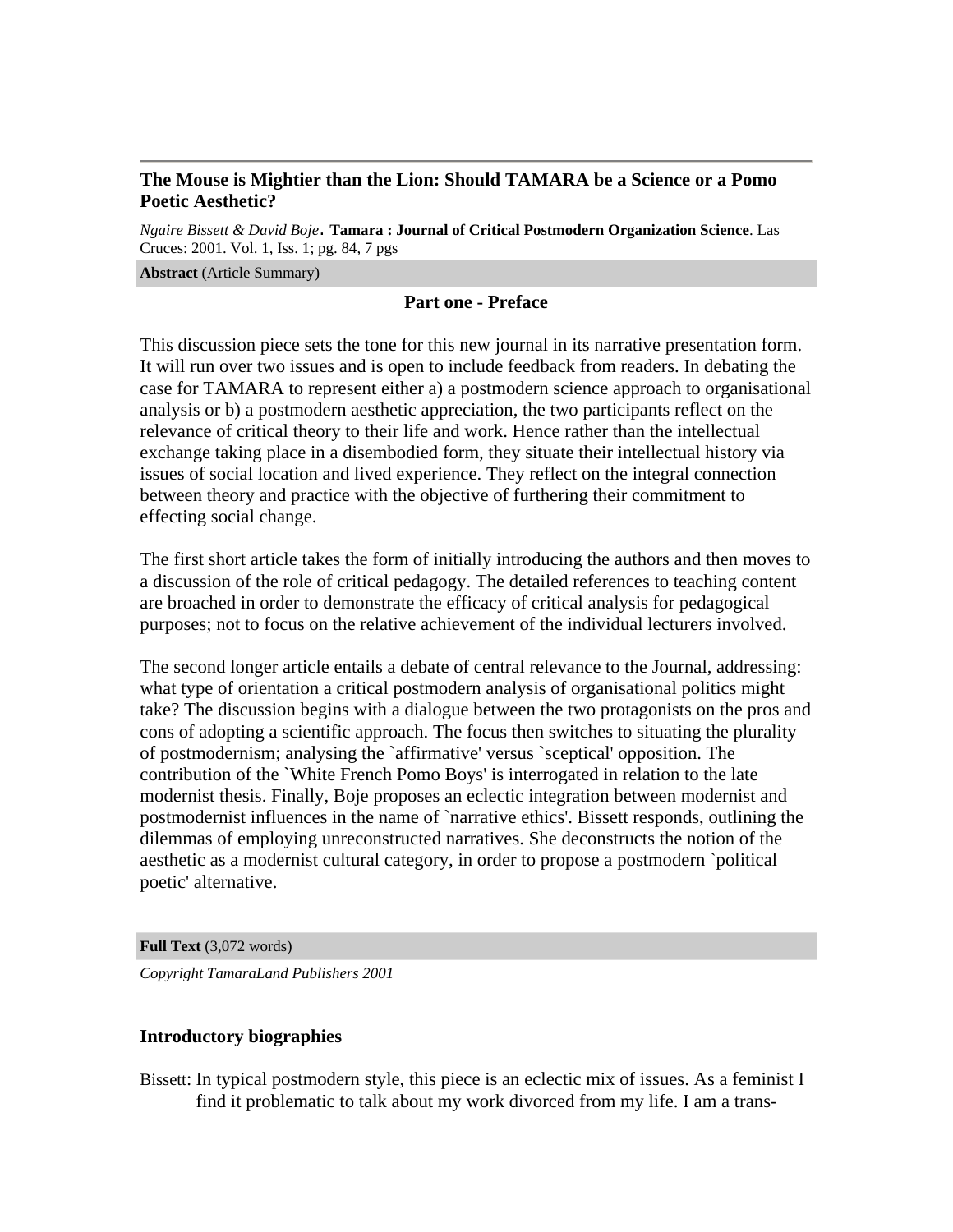## **The Mouse is Mightier than the Lion: Should TAMARA be a Science or a Pomo Poetic Aesthetic?**

*Ngaire Bissett & David Boje*. **Tamara : Journal of Critical Postmodern Organization Science**. Las Cruces: 2001. Vol. 1, Iss. 1; pg. 84, 7 pgs

#### **Abstract** (Article Summary)

### **Part one - Preface**

This discussion piece sets the tone for this new journal in its narrative presentation form. It will run over two issues and is open to include feedback from readers. In debating the case for TAMARA to represent either a) a postmodern science approach to organisational analysis or b) a postmodern aesthetic appreciation, the two participants reflect on the relevance of critical theory to their life and work. Hence rather than the intellectual exchange taking place in a disembodied form, they situate their intellectual history via issues of social location and lived experience. They reflect on the integral connection between theory and practice with the objective of furthering their commitment to effecting social change.

The first short article takes the form of initially introducing the authors and then moves to a discussion of the role of critical pedagogy. The detailed references to teaching content are broached in order to demonstrate the efficacy of critical analysis for pedagogical purposes; not to focus on the relative achievement of the individual lecturers involved.

The second longer article entails a debate of central relevance to the Journal, addressing: what type of orientation a critical postmodern analysis of organisational politics might take? The discussion begins with a dialogue between the two protagonists on the pros and cons of adopting a scientific approach. The focus then switches to situating the plurality of postmodernism; analysing the `affirmative' versus `sceptical' opposition. The contribution of the `White French Pomo Boys' is interrogated in relation to the late modernist thesis. Finally, Boje proposes an eclectic integration between modernist and postmodernist influences in the name of `narrative ethics'. Bissett responds, outlining the dilemmas of employing unreconstructed narratives. She deconstructs the notion of the aesthetic as a modernist cultural category, in order to propose a postmodern `political poetic' alternative.

**Full Text** (3,072 words)

*Copyright TamaraLand Publishers 2001*

### **Introductory biographies**

Bissett: In typical postmodern style, this piece is an eclectic mix of issues. As a feminist I find it problematic to talk about my work divorced from my life. I am a trans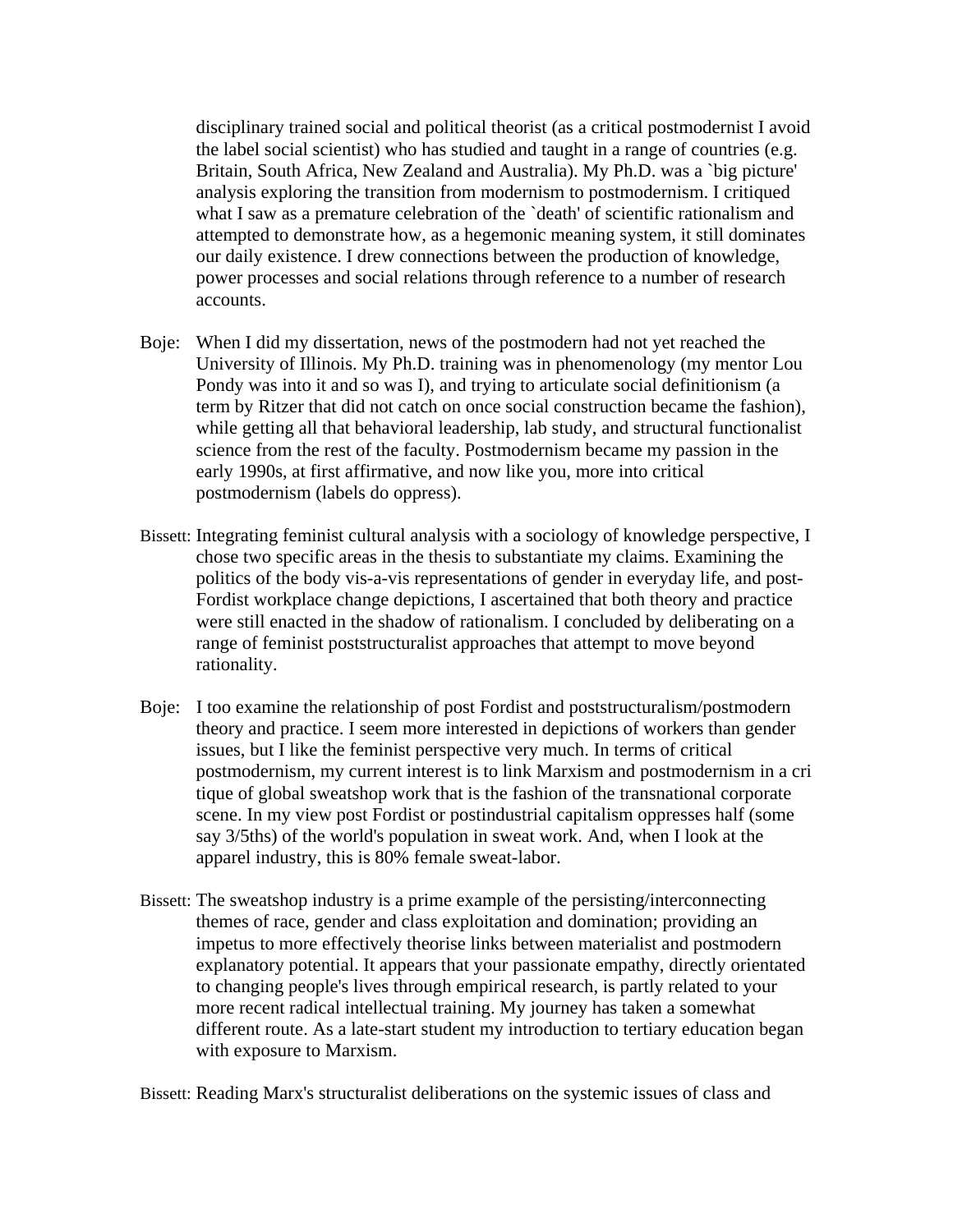disciplinary trained social and political theorist (as a critical postmodernist I avoid the label social scientist) who has studied and taught in a range of countries (e.g. Britain, South Africa, New Zealand and Australia). My Ph.D. was a `big picture' analysis exploring the transition from modernism to postmodernism. I critiqued what I saw as a premature celebration of the 'death' of scientific rationalism and attempted to demonstrate how, as a hegemonic meaning system, it still dominates our daily existence. I drew connections between the production of knowledge, power processes and social relations through reference to a number of research accounts.

- Boje: When I did my dissertation, news of the postmodern had not yet reached the University of Illinois. My Ph.D. training was in phenomenology (my mentor Lou Pondy was into it and so was I), and trying to articulate social definitionism (a term by Ritzer that did not catch on once social construction became the fashion), while getting all that behavioral leadership, lab study, and structural functionalist science from the rest of the faculty. Postmodernism became my passion in the early 1990s, at first affirmative, and now like you, more into critical postmodernism (labels do oppress).
- Bissett: Integrating feminist cultural analysis with a sociology of knowledge perspective, I chose two specific areas in the thesis to substantiate my claims. Examining the politics of the body vis-a-vis representations of gender in everyday life, and post-Fordist workplace change depictions, I ascertained that both theory and practice were still enacted in the shadow of rationalism. I concluded by deliberating on a range of feminist poststructuralist approaches that attempt to move beyond rationality.
- Boje: I too examine the relationship of post Fordist and poststructuralism/postmodern theory and practice. I seem more interested in depictions of workers than gender issues, but I like the feminist perspective very much. In terms of critical postmodernism, my current interest is to link Marxism and postmodernism in a cri tique of global sweatshop work that is the fashion of the transnational corporate scene. In my view post Fordist or postindustrial capitalism oppresses half (some say 3/5ths) of the world's population in sweat work. And, when I look at the apparel industry, this is 80% female sweat-labor.
- Bissett: The sweatshop industry is a prime example of the persisting/interconnecting themes of race, gender and class exploitation and domination; providing an impetus to more effectively theorise links between materialist and postmodern explanatory potential. It appears that your passionate empathy, directly orientated to changing people's lives through empirical research, is partly related to your more recent radical intellectual training. My journey has taken a somewhat different route. As a late-start student my introduction to tertiary education began with exposure to Marxism.

Bissett: Reading Marx's structuralist deliberations on the systemic issues of class and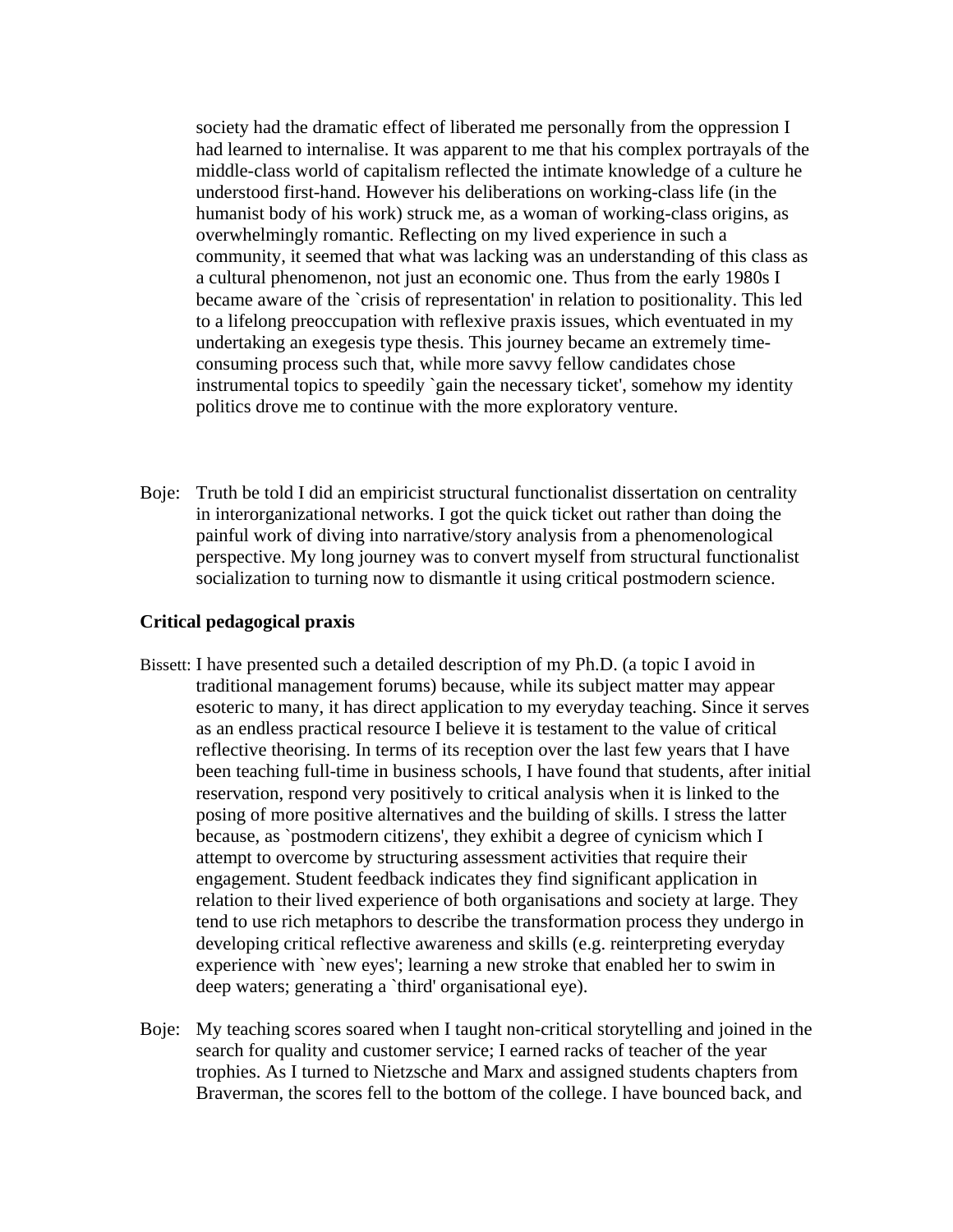society had the dramatic effect of liberated me personally from the oppression I had learned to internalise. It was apparent to me that his complex portrayals of the middle-class world of capitalism reflected the intimate knowledge of a culture he understood first-hand. However his deliberations on working-class life (in the humanist body of his work) struck me, as a woman of working-class origins, as overwhelmingly romantic. Reflecting on my lived experience in such a community, it seemed that what was lacking was an understanding of this class as a cultural phenomenon, not just an economic one. Thus from the early 1980s I became aware of the `crisis of representation' in relation to positionality. This led to a lifelong preoccupation with reflexive praxis issues, which eventuated in my undertaking an exegesis type thesis. This journey became an extremely timeconsuming process such that, while more savvy fellow candidates chose instrumental topics to speedily `gain the necessary ticket', somehow my identity politics drove me to continue with the more exploratory venture.

Boje: Truth be told I did an empiricist structural functionalist dissertation on centrality in interorganizational networks. I got the quick ticket out rather than doing the painful work of diving into narrative/story analysis from a phenomenological perspective. My long journey was to convert myself from structural functionalist socialization to turning now to dismantle it using critical postmodern science.

### **Critical pedagogical praxis**

- Bissett: I have presented such a detailed description of my Ph.D. (a topic I avoid in traditional management forums) because, while its subject matter may appear esoteric to many, it has direct application to my everyday teaching. Since it serves as an endless practical resource I believe it is testament to the value of critical reflective theorising. In terms of its reception over the last few years that I have been teaching full-time in business schools, I have found that students, after initial reservation, respond very positively to critical analysis when it is linked to the posing of more positive alternatives and the building of skills. I stress the latter because, as `postmodern citizens', they exhibit a degree of cynicism which I attempt to overcome by structuring assessment activities that require their engagement. Student feedback indicates they find significant application in relation to their lived experience of both organisations and society at large. They tend to use rich metaphors to describe the transformation process they undergo in developing critical reflective awareness and skills (e.g. reinterpreting everyday experience with `new eyes'; learning a new stroke that enabled her to swim in deep waters; generating a `third' organisational eye).
- Boje: My teaching scores soared when I taught non-critical storytelling and joined in the search for quality and customer service; I earned racks of teacher of the year trophies. As I turned to Nietzsche and Marx and assigned students chapters from Braverman, the scores fell to the bottom of the college. I have bounced back, and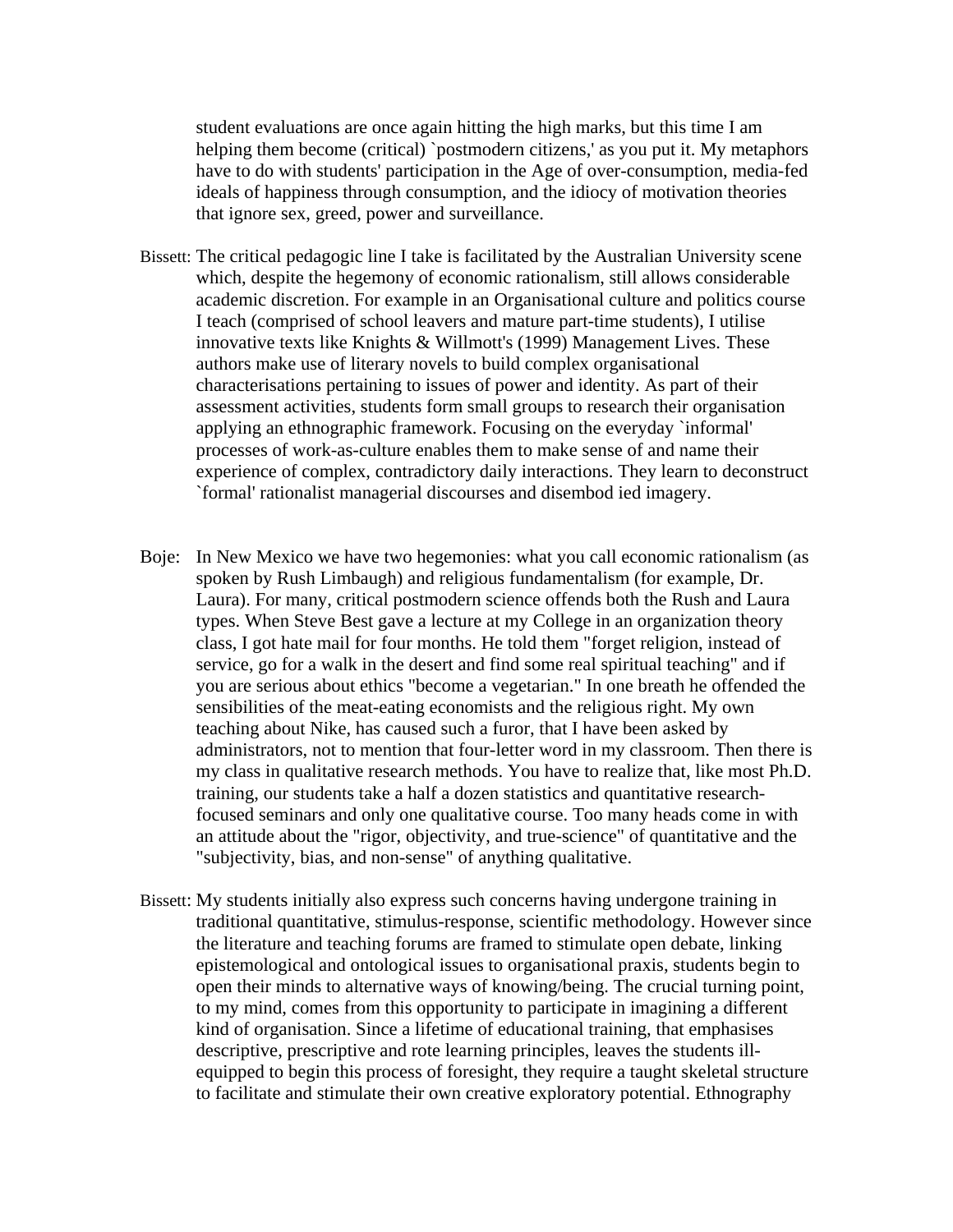student evaluations are once again hitting the high marks, but this time I am helping them become (critical) `postmodern citizens,' as you put it. My metaphors have to do with students' participation in the Age of over-consumption, media-fed ideals of happiness through consumption, and the idiocy of motivation theories that ignore sex, greed, power and surveillance.

- Bissett: The critical pedagogic line I take is facilitated by the Australian University scene which, despite the hegemony of economic rationalism, still allows considerable academic discretion. For example in an Organisational culture and politics course I teach (comprised of school leavers and mature part-time students), I utilise innovative texts like Knights & Willmott's (1999) Management Lives. These authors make use of literary novels to build complex organisational characterisations pertaining to issues of power and identity. As part of their assessment activities, students form small groups to research their organisation applying an ethnographic framework. Focusing on the everyday `informal' processes of work-as-culture enables them to make sense of and name their experience of complex, contradictory daily interactions. They learn to deconstruct `formal' rationalist managerial discourses and disembod ied imagery.
- Boje: In New Mexico we have two hegemonies: what you call economic rationalism (as spoken by Rush Limbaugh) and religious fundamentalism (for example, Dr. Laura). For many, critical postmodern science offends both the Rush and Laura types. When Steve Best gave a lecture at my College in an organization theory class, I got hate mail for four months. He told them "forget religion, instead of service, go for a walk in the desert and find some real spiritual teaching" and if you are serious about ethics "become a vegetarian." In one breath he offended the sensibilities of the meat-eating economists and the religious right. My own teaching about Nike, has caused such a furor, that I have been asked by administrators, not to mention that four-letter word in my classroom. Then there is my class in qualitative research methods. You have to realize that, like most Ph.D. training, our students take a half a dozen statistics and quantitative researchfocused seminars and only one qualitative course. Too many heads come in with an attitude about the "rigor, objectivity, and true-science" of quantitative and the "subjectivity, bias, and non-sense" of anything qualitative.
- Bissett: My students initially also express such concerns having undergone training in traditional quantitative, stimulus-response, scientific methodology. However since the literature and teaching forums are framed to stimulate open debate, linking epistemological and ontological issues to organisational praxis, students begin to open their minds to alternative ways of knowing/being. The crucial turning point, to my mind, comes from this opportunity to participate in imagining a different kind of organisation. Since a lifetime of educational training, that emphasises descriptive, prescriptive and rote learning principles, leaves the students illequipped to begin this process of foresight, they require a taught skeletal structure to facilitate and stimulate their own creative exploratory potential. Ethnography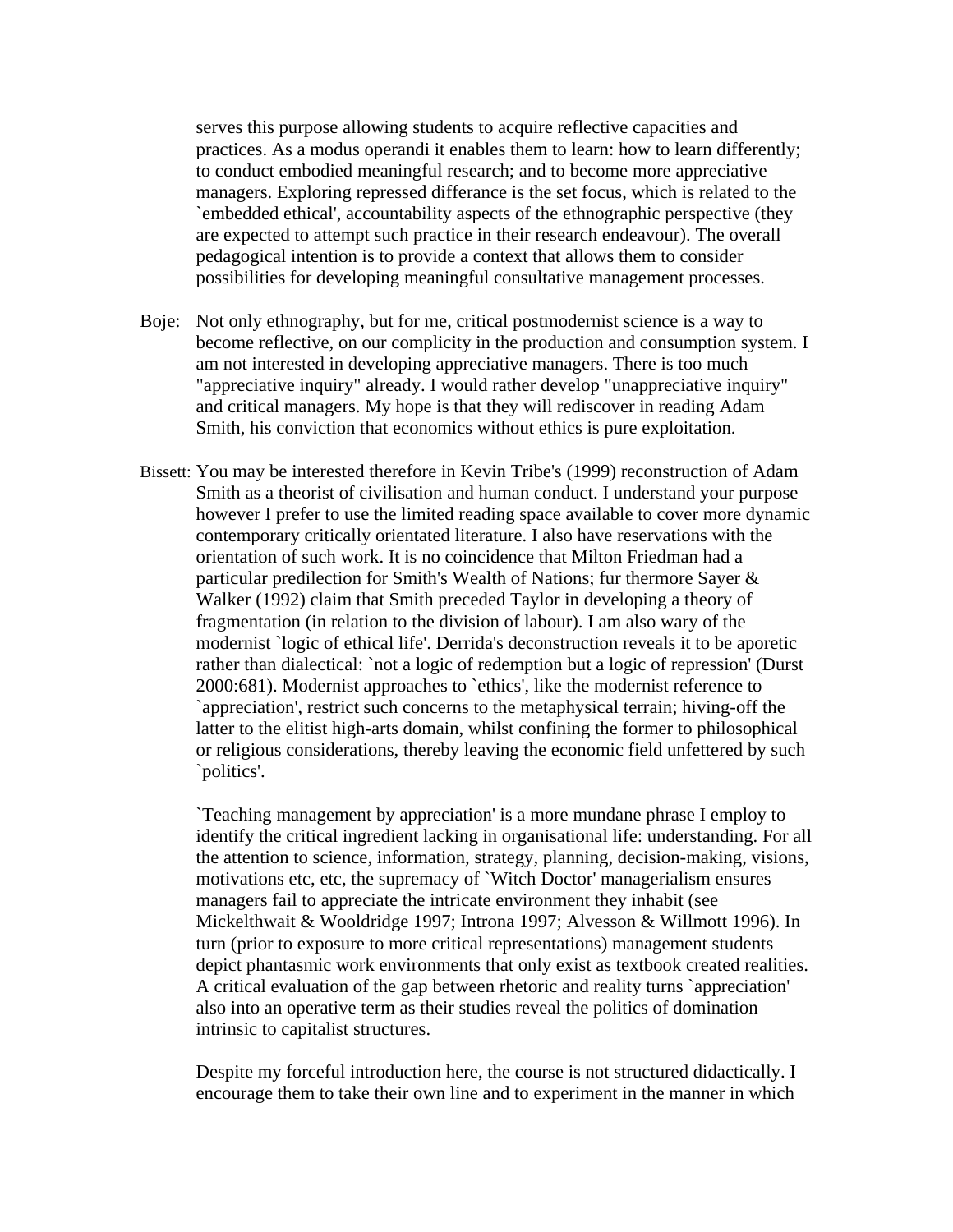serves this purpose allowing students to acquire reflective capacities and practices. As a modus operandi it enables them to learn: how to learn differently; to conduct embodied meaningful research; and to become more appreciative managers. Exploring repressed differance is the set focus, which is related to the `embedded ethical', accountability aspects of the ethnographic perspective (they are expected to attempt such practice in their research endeavour). The overall pedagogical intention is to provide a context that allows them to consider possibilities for developing meaningful consultative management processes.

- Boje: Not only ethnography, but for me, critical postmodernist science is a way to become reflective, on our complicity in the production and consumption system. I am not interested in developing appreciative managers. There is too much "appreciative inquiry" already. I would rather develop "unappreciative inquiry" and critical managers. My hope is that they will rediscover in reading Adam Smith, his conviction that economics without ethics is pure exploitation.
- Bissett: You may be interested therefore in Kevin Tribe's (1999) reconstruction of Adam Smith as a theorist of civilisation and human conduct. I understand your purpose however I prefer to use the limited reading space available to cover more dynamic contemporary critically orientated literature. I also have reservations with the orientation of such work. It is no coincidence that Milton Friedman had a particular predilection for Smith's Wealth of Nations; fur thermore Sayer & Walker (1992) claim that Smith preceded Taylor in developing a theory of fragmentation (in relation to the division of labour). I am also wary of the modernist `logic of ethical life'. Derrida's deconstruction reveals it to be aporetic rather than dialectical: `not a logic of redemption but a logic of repression' (Durst 2000:681). Modernist approaches to `ethics', like the modernist reference to `appreciation', restrict such concerns to the metaphysical terrain; hiving-off the latter to the elitist high-arts domain, whilst confining the former to philosophical or religious considerations, thereby leaving the economic field unfettered by such `politics'.

`Teaching management by appreciation' is a more mundane phrase I employ to identify the critical ingredient lacking in organisational life: understanding. For all the attention to science, information, strategy, planning, decision-making, visions, motivations etc, etc, the supremacy of `Witch Doctor' managerialism ensures managers fail to appreciate the intricate environment they inhabit (see Mickelthwait & Wooldridge 1997; Introna 1997; Alvesson & Willmott 1996). In turn (prior to exposure to more critical representations) management students depict phantasmic work environments that only exist as textbook created realities. A critical evaluation of the gap between rhetoric and reality turns `appreciation' also into an operative term as their studies reveal the politics of domination intrinsic to capitalist structures.

Despite my forceful introduction here, the course is not structured didactically. I encourage them to take their own line and to experiment in the manner in which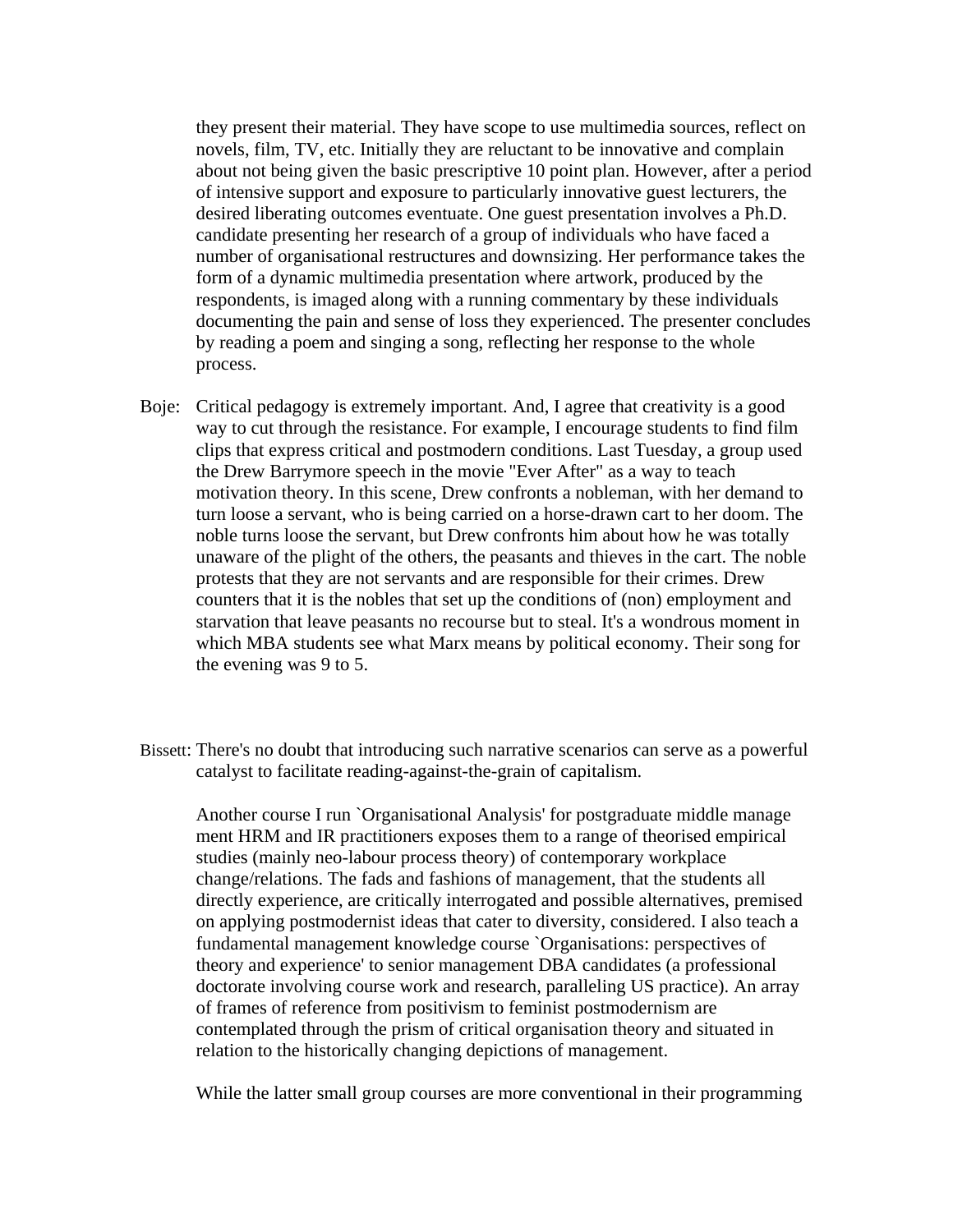they present their material. They have scope to use multimedia sources, reflect on novels, film, TV, etc. Initially they are reluctant to be innovative and complain about not being given the basic prescriptive 10 point plan. However, after a period of intensive support and exposure to particularly innovative guest lecturers, the desired liberating outcomes eventuate. One guest presentation involves a Ph.D. candidate presenting her research of a group of individuals who have faced a number of organisational restructures and downsizing. Her performance takes the form of a dynamic multimedia presentation where artwork, produced by the respondents, is imaged along with a running commentary by these individuals documenting the pain and sense of loss they experienced. The presenter concludes by reading a poem and singing a song, reflecting her response to the whole process.

- Boje: Critical pedagogy is extremely important. And, I agree that creativity is a good way to cut through the resistance. For example, I encourage students to find film clips that express critical and postmodern conditions. Last Tuesday, a group used the Drew Barrymore speech in the movie "Ever After" as a way to teach motivation theory. In this scene, Drew confronts a nobleman, with her demand to turn loose a servant, who is being carried on a horse-drawn cart to her doom. The noble turns loose the servant, but Drew confronts him about how he was totally unaware of the plight of the others, the peasants and thieves in the cart. The noble protests that they are not servants and are responsible for their crimes. Drew counters that it is the nobles that set up the conditions of (non) employment and starvation that leave peasants no recourse but to steal. It's a wondrous moment in which MBA students see what Marx means by political economy. Their song for the evening was 9 to 5.
- Bissett: There's no doubt that introducing such narrative scenarios can serve as a powerful catalyst to facilitate reading-against-the-grain of capitalism.

Another course I run `Organisational Analysis' for postgraduate middle manage ment HRM and IR practitioners exposes them to a range of theorised empirical studies (mainly neo-labour process theory) of contemporary workplace change/relations. The fads and fashions of management, that the students all directly experience, are critically interrogated and possible alternatives, premised on applying postmodernist ideas that cater to diversity, considered. I also teach a fundamental management knowledge course `Organisations: perspectives of theory and experience' to senior management DBA candidates (a professional doctorate involving course work and research, paralleling US practice). An array of frames of reference from positivism to feminist postmodernism are contemplated through the prism of critical organisation theory and situated in relation to the historically changing depictions of management.

While the latter small group courses are more conventional in their programming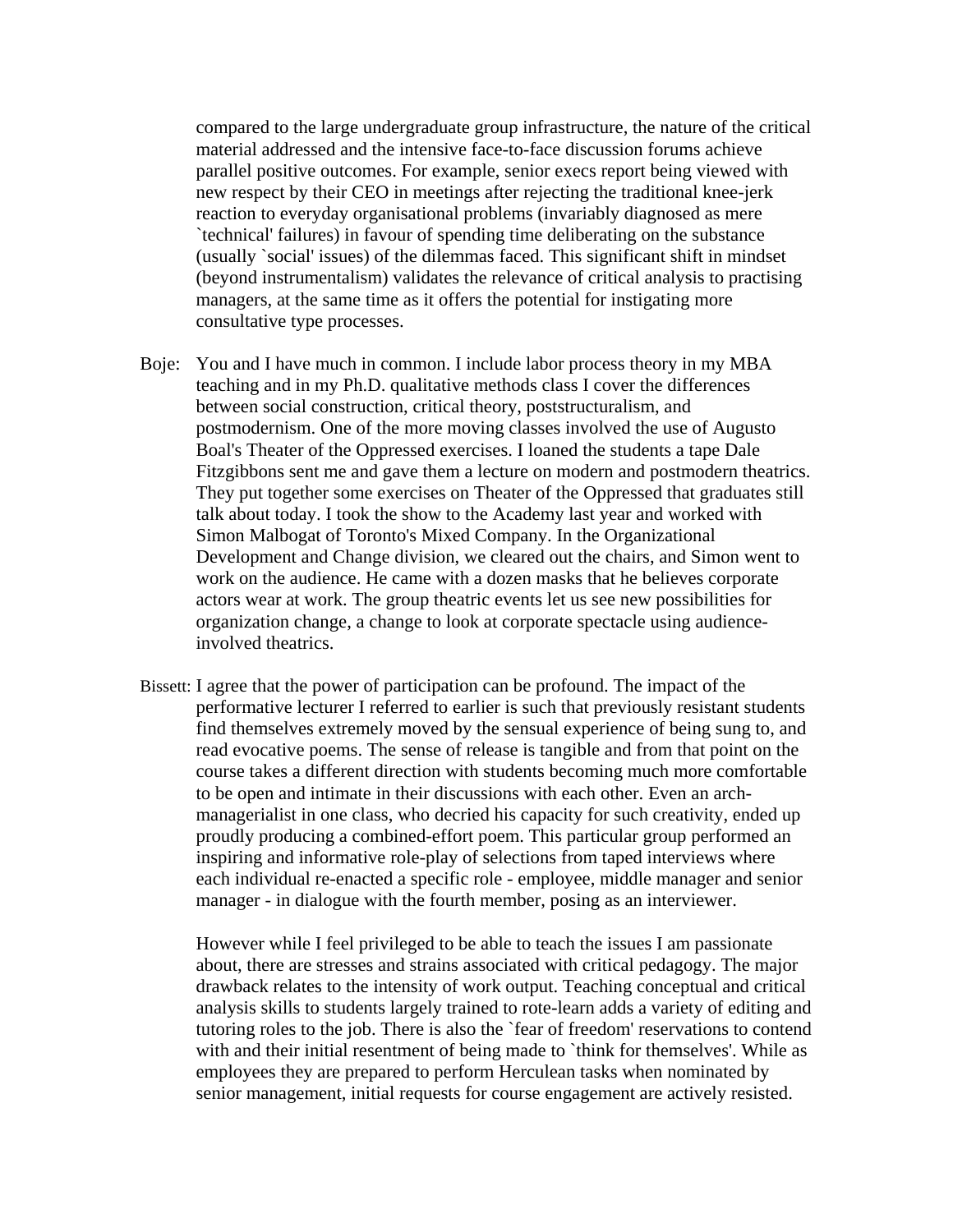compared to the large undergraduate group infrastructure, the nature of the critical material addressed and the intensive face-to-face discussion forums achieve parallel positive outcomes. For example, senior execs report being viewed with new respect by their CEO in meetings after rejecting the traditional knee-jerk reaction to everyday organisational problems (invariably diagnosed as mere `technical' failures) in favour of spending time deliberating on the substance (usually `social' issues) of the dilemmas faced. This significant shift in mindset (beyond instrumentalism) validates the relevance of critical analysis to practising managers, at the same time as it offers the potential for instigating more consultative type processes.

- Boje: You and I have much in common. I include labor process theory in my MBA teaching and in my Ph.D. qualitative methods class I cover the differences between social construction, critical theory, poststructuralism, and postmodernism. One of the more moving classes involved the use of Augusto Boal's Theater of the Oppressed exercises. I loaned the students a tape Dale Fitzgibbons sent me and gave them a lecture on modern and postmodern theatrics. They put together some exercises on Theater of the Oppressed that graduates still talk about today. I took the show to the Academy last year and worked with Simon Malbogat of Toronto's Mixed Company. In the Organizational Development and Change division, we cleared out the chairs, and Simon went to work on the audience. He came with a dozen masks that he believes corporate actors wear at work. The group theatric events let us see new possibilities for organization change, a change to look at corporate spectacle using audienceinvolved theatrics.
- Bissett: I agree that the power of participation can be profound. The impact of the performative lecturer I referred to earlier is such that previously resistant students find themselves extremely moved by the sensual experience of being sung to, and read evocative poems. The sense of release is tangible and from that point on the course takes a different direction with students becoming much more comfortable to be open and intimate in their discussions with each other. Even an archmanagerialist in one class, who decried his capacity for such creativity, ended up proudly producing a combined-effort poem. This particular group performed an inspiring and informative role-play of selections from taped interviews where each individual re-enacted a specific role - employee, middle manager and senior manager - in dialogue with the fourth member, posing as an interviewer.

However while I feel privileged to be able to teach the issues I am passionate about, there are stresses and strains associated with critical pedagogy. The major drawback relates to the intensity of work output. Teaching conceptual and critical analysis skills to students largely trained to rote-learn adds a variety of editing and tutoring roles to the job. There is also the `fear of freedom' reservations to contend with and their initial resentment of being made to `think for themselves'. While as employees they are prepared to perform Herculean tasks when nominated by senior management, initial requests for course engagement are actively resisted.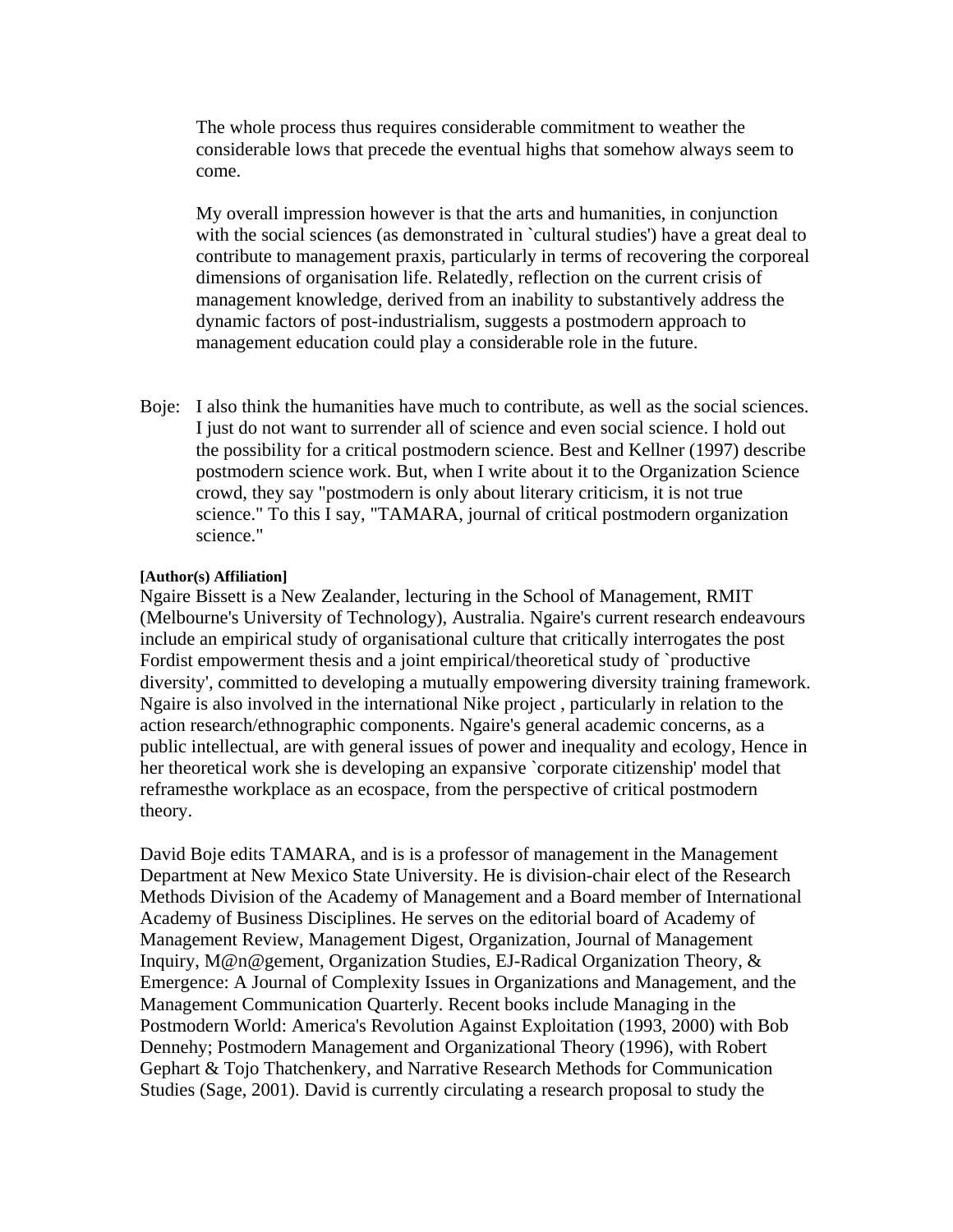The whole process thus requires considerable commitment to weather the considerable lows that precede the eventual highs that somehow always seem to come.

My overall impression however is that the arts and humanities, in conjunction with the social sciences (as demonstrated in `cultural studies') have a great deal to contribute to management praxis, particularly in terms of recovering the corporeal dimensions of organisation life. Relatedly, reflection on the current crisis of management knowledge, derived from an inability to substantively address the dynamic factors of post-industrialism, suggests a postmodern approach to management education could play a considerable role in the future.

Boje: I also think the humanities have much to contribute, as well as the social sciences. I just do not want to surrender all of science and even social science. I hold out the possibility for a critical postmodern science. Best and Kellner (1997) describe postmodern science work. But, when I write about it to the Organization Science crowd, they say "postmodern is only about literary criticism, it is not true science." To this I say, "TAMARA, journal of critical postmodern organization science."

### **[Author(s) Affiliation]**

Ngaire Bissett is a New Zealander, lecturing in the School of Management, RMIT (Melbourne's University of Technology), Australia. Ngaire's current research endeavours include an empirical study of organisational culture that critically interrogates the post Fordist empowerment thesis and a joint empirical/theoretical study of `productive diversity', committed to developing a mutually empowering diversity training framework. Ngaire is also involved in the international Nike project , particularly in relation to the action research/ethnographic components. Ngaire's general academic concerns, as a public intellectual, are with general issues of power and inequality and ecology, Hence in her theoretical work she is developing an expansive `corporate citizenship' model that reframesthe workplace as an ecospace, from the perspective of critical postmodern theory.

David Boje edits TAMARA, and is is a professor of management in the Management Department at New Mexico State University. He is division-chair elect of the Research Methods Division of the Academy of Management and a Board member of International Academy of Business Disciplines. He serves on the editorial board of Academy of Management Review, Management Digest, Organization, Journal of Management Inquiry, M@n@gement, Organization Studies, EJ-Radical Organization Theory, & Emergence: A Journal of Complexity Issues in Organizations and Management, and the Management Communication Quarterly. Recent books include Managing in the Postmodern World: America's Revolution Against Exploitation (1993, 2000) with Bob Dennehy; Postmodern Management and Organizational Theory (1996), with Robert Gephart & Tojo Thatchenkery, and Narrative Research Methods for Communication Studies (Sage, 2001). David is currently circulating a research proposal to study the